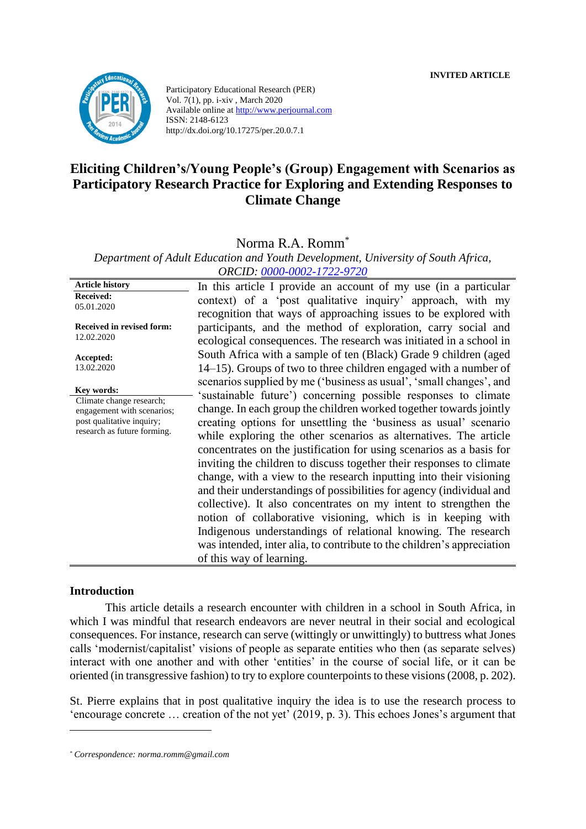**INVITED ARTICLE**



Participatory Educational Research (PER) Vol. 7(1), pp. i-xiv , March 2020 Available online at http://www.perjournal.com ISSN: 2148-6123 http://dx.doi.org/10.17275/per.20.0.7.1

# **Eliciting Children's/Young People's (Group) Engagement with Scenarios as Participatory Research Practice for Exploring and Extending Responses to Climate Change**

Norma R.A. Romm\*

*Department of Adult Education and Youth Development, University of South Africa, ORCID: [0000-0002-1722-9720](https://orcid.org/0000-0002-1722-9720)*

**Article history Received:**  05.01.2020 **Received in revised form:**  12.02.2020 **Accepted:** 13.02.2020 In this article I provide an account of my use (in a particular context) of a 'post qualitative inquiry' approach, with my recognition that ways of approaching issues to be explored with participants, and the method of exploration, carry social and ecological consequences. The research was initiated in a school in South Africa with a sample of ten (Black) Grade 9 children (aged 14–15). Groups of two to three children engaged with a number of scenarios supplied by me ('business as usual', 'small changes', and 'sustainable future') concerning possible responses to climate change. In each group the children worked together towards jointly creating options for unsettling the 'business as usual' scenario while exploring the other scenarios as alternatives. The article concentrates on the justification for using scenarios as a basis for inviting the children to discuss together their responses to climate change, with a view to the research inputting into their visioning and their understandings of possibilities for agency (individual and collective). It also concentrates on my intent to strengthen the notion of collaborative visioning, which is in keeping with Indigenous understandings of relational knowing. The research was intended, inter alia, to contribute to the children's appreciation of this way of learning. **Key words:** Climate change research; engagement with scenarios; post qualitative inquiry; research as future forming.

#### **Introduction**

This article details a research encounter with children in a school in South Africa, in which I was mindful that research endeavors are never neutral in their social and ecological consequences. For instance, research can serve (wittingly or unwittingly) to buttress what Jones calls 'modernist/capitalist' visions of people as separate entities who then (as separate selves) interact with one another and with other 'entities' in the course of social life, or it can be oriented (in transgressive fashion) to try to explore counterpoints to these visions (2008, p. 202).

St. Pierre explains that in post qualitative inquiry the idea is to use the research process to 'encourage concrete … creation of the not yet' (2019, p. 3). This echoes Jones's argument that

*<sup>\*</sup> Correspondence: norma.romm@gmail.com*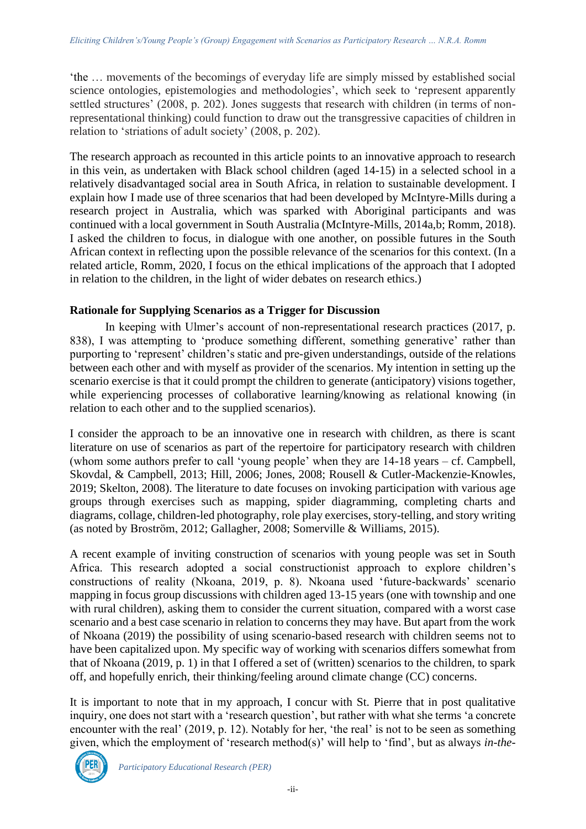'the … movements of the becomings of everyday life are simply missed by established social science ontologies, epistemologies and methodologies', which seek to 'represent apparently settled structures' (2008, p. 202). Jones suggests that research with children (in terms of nonrepresentational thinking) could function to draw out the transgressive capacities of children in relation to 'striations of adult society' (2008, p. 202).

The research approach as recounted in this article points to an innovative approach to research in this vein, as undertaken with Black school children (aged 14-15) in a selected school in a relatively disadvantaged social area in South Africa, in relation to sustainable development. I explain how I made use of three scenarios that had been developed by McIntyre-Mills during a research project in Australia, which was sparked with Aboriginal participants and was continued with a local government in South Australia (McIntyre-Mills, 2014a,b; Romm, 2018). I asked the children to focus, in dialogue with one another, on possible futures in the South African context in reflecting upon the possible relevance of the scenarios for this context. (In a related article, Romm, 2020, I focus on the ethical implications of the approach that I adopted in relation to the children, in the light of wider debates on research ethics.)

# **Rationale for Supplying Scenarios as a Trigger for Discussion**

In keeping with Ulmer's account of non-representational research practices (2017, p. 838), I was attempting to 'produce something different, something generative' rather than purporting to 'represent' children's static and pre-given understandings, outside of the relations between each other and with myself as provider of the scenarios. My intention in setting up the scenario exercise is that it could prompt the children to generate (anticipatory) visions together, while experiencing processes of collaborative learning/knowing as relational knowing (in relation to each other and to the supplied scenarios).

I consider the approach to be an innovative one in research with children, as there is scant literature on use of scenarios as part of the repertoire for participatory research with children (whom some authors prefer to call 'young people' when they are 14-18 years – cf. Campbell, Skovdal, & Campbell, 2013; Hill, 2006; Jones, 2008; Rousell & Cutler-Mackenzie-Knowles, 2019; Skelton, 2008). The literature to date focuses on invoking participation with various age groups through exercises such as mapping, spider diagramming, completing charts and diagrams, collage, children-led photography, role play exercises, story-telling, and story writing (as noted by Broström, 2012; Gallagher, 2008; Somerville & Williams, 2015).

A recent example of inviting construction of scenarios with young people was set in South Africa. This research adopted a social constructionist approach to explore children's constructions of reality (Nkoana, 2019, p. 8). Nkoana used 'future-backwards' scenario mapping in focus group discussions with children aged 13-15 years (one with township and one with rural children), asking them to consider the current situation, compared with a worst case scenario and a best case scenario in relation to concerns they may have. But apart from the work of Nkoana (2019) the possibility of using scenario-based research with children seems not to have been capitalized upon. My specific way of working with scenarios differs somewhat from that of Nkoana (2019, p. 1) in that I offered a set of (written) scenarios to the children, to spark off, and hopefully enrich, their thinking/feeling around climate change (CC) concerns.

It is important to note that in my approach, I concur with St. Pierre that in post qualitative inquiry, one does not start with a 'research question', but rather with what she terms 'a concrete encounter with the real' (2019, p. 12). Notably for her, 'the real' is not to be seen as something given, which the employment of 'research method(s)' will help to 'find', but as always *in-the-*

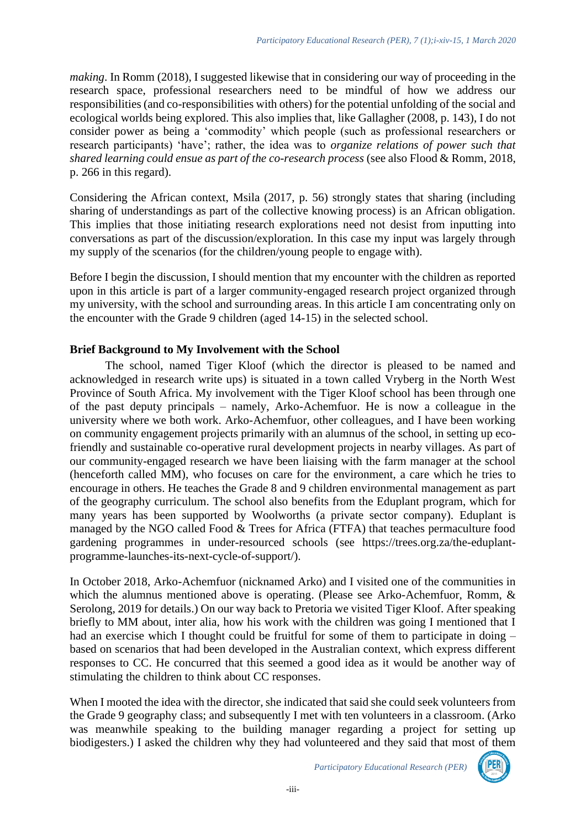*making*. In Romm (2018), I suggested likewise that in considering our way of proceeding in the research space, professional researchers need to be mindful of how we address our responsibilities (and co-responsibilities with others) for the potential unfolding of the social and ecological worlds being explored. This also implies that, like Gallagher (2008, p. 143), I do not consider power as being a 'commodity' which people (such as professional researchers or research participants) 'have'; rather, the idea was to *organize relations of power such that shared learning could ensue as part of the co-research process* (see also Flood & Romm, 2018, p. 266 in this regard).

Considering the African context, Msila (2017, p. 56) strongly states that sharing (including sharing of understandings as part of the collective knowing process) is an African obligation. This implies that those initiating research explorations need not desist from inputting into conversations as part of the discussion/exploration. In this case my input was largely through my supply of the scenarios (for the children/young people to engage with).

Before I begin the discussion, I should mention that my encounter with the children as reported upon in this article is part of a larger community-engaged research project organized through my university, with the school and surrounding areas. In this article I am concentrating only on the encounter with the Grade 9 children (aged 14-15) in the selected school.

# **Brief Background to My Involvement with the School**

The school, named Tiger Kloof (which the director is pleased to be named and acknowledged in research write ups) is situated in a town called Vryberg in the North West Province of South Africa. My involvement with the Tiger Kloof school has been through one of the past deputy principals – namely, Arko-Achemfuor. He is now a colleague in the university where we both work. Arko-Achemfuor, other colleagues, and I have been working on community engagement projects primarily with an alumnus of the school, in setting up ecofriendly and sustainable co-operative rural development projects in nearby villages. As part of our community-engaged research we have been liaising with the farm manager at the school (henceforth called MM), who focuses on care for the environment, a care which he tries to encourage in others. He teaches the Grade 8 and 9 children environmental management as part of the geography curriculum. The school also benefits from the Eduplant program, which for many years has been supported by Woolworths (a private sector company). Eduplant is managed by the NGO called Food & Trees for Africa (FTFA) that teaches permaculture food gardening programmes in under-resourced schools (see [https://trees.org.za/the-eduplant](https://trees.org.za/the-eduplant-programme-launches-its-next-cycle-of-support/)[programme-launches-its-next-cycle-of-support/\)](https://trees.org.za/the-eduplant-programme-launches-its-next-cycle-of-support/).

In October 2018, Arko-Achemfuor (nicknamed Arko) and I visited one of the communities in which the alumnus mentioned above is operating. (Please see Arko-Achemfuor, Romm, & Serolong, 2019 for details.) On our way back to Pretoria we visited Tiger Kloof. After speaking briefly to MM about, inter alia, how his work with the children was going I mentioned that I had an exercise which I thought could be fruitful for some of them to participate in doing – based on scenarios that had been developed in the Australian context, which express different responses to CC. He concurred that this seemed a good idea as it would be another way of stimulating the children to think about CC responses.

When I mooted the idea with the director, she indicated that said she could seek volunteers from the Grade 9 geography class; and subsequently I met with ten volunteers in a classroom. (Arko was meanwhile speaking to the building manager regarding a project for setting up biodigesters.) I asked the children why they had volunteered and they said that most of them

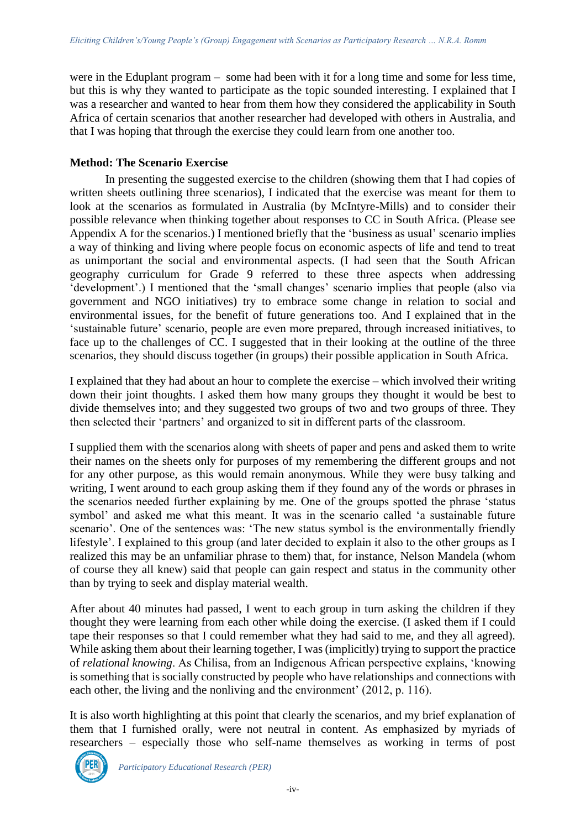were in the Eduplant program – some had been with it for a long time and some for less time, but this is why they wanted to participate as the topic sounded interesting. I explained that I was a researcher and wanted to hear from them how they considered the applicability in South Africa of certain scenarios that another researcher had developed with others in Australia, and that I was hoping that through the exercise they could learn from one another too.

# **Method: The Scenario Exercise**

In presenting the suggested exercise to the children (showing them that I had copies of written sheets outlining three scenarios), I indicated that the exercise was meant for them to look at the scenarios as formulated in Australia (by McIntyre-Mills) and to consider their possible relevance when thinking together about responses to CC in South Africa. (Please see Appendix A for the scenarios.) I mentioned briefly that the 'business as usual' scenario implies a way of thinking and living where people focus on economic aspects of life and tend to treat as unimportant the social and environmental aspects. (I had seen that the South African geography curriculum for Grade 9 referred to these three aspects when addressing 'development'.) I mentioned that the 'small changes' scenario implies that people (also via government and NGO initiatives) try to embrace some change in relation to social and environmental issues, for the benefit of future generations too. And I explained that in the 'sustainable future' scenario, people are even more prepared, through increased initiatives, to face up to the challenges of CC. I suggested that in their looking at the outline of the three scenarios, they should discuss together (in groups) their possible application in South Africa.

I explained that they had about an hour to complete the exercise – which involved their writing down their joint thoughts. I asked them how many groups they thought it would be best to divide themselves into; and they suggested two groups of two and two groups of three. They then selected their 'partners' and organized to sit in different parts of the classroom.

I supplied them with the scenarios along with sheets of paper and pens and asked them to write their names on the sheets only for purposes of my remembering the different groups and not for any other purpose, as this would remain anonymous. While they were busy talking and writing, I went around to each group asking them if they found any of the words or phrases in the scenarios needed further explaining by me. One of the groups spotted the phrase 'status symbol' and asked me what this meant. It was in the scenario called 'a sustainable future scenario'. One of the sentences was: 'The new status symbol is the environmentally friendly lifestyle'. I explained to this group (and later decided to explain it also to the other groups as I realized this may be an unfamiliar phrase to them) that, for instance, Nelson Mandela (whom of course they all knew) said that people can gain respect and status in the community other than by trying to seek and display material wealth.

After about 40 minutes had passed, I went to each group in turn asking the children if they thought they were learning from each other while doing the exercise. (I asked them if I could tape their responses so that I could remember what they had said to me, and they all agreed). While asking them about their learning together, I was (implicitly) trying to support the practice of *relational knowing*. As Chilisa, from an Indigenous African perspective explains, 'knowing is something that is socially constructed by people who have relationships and connections with each other, the living and the nonliving and the environment' (2012, p. 116).

It is also worth highlighting at this point that clearly the scenarios, and my brief explanation of them that I furnished orally, were not neutral in content. As emphasized by myriads of researchers – especially those who self-name themselves as working in terms of post

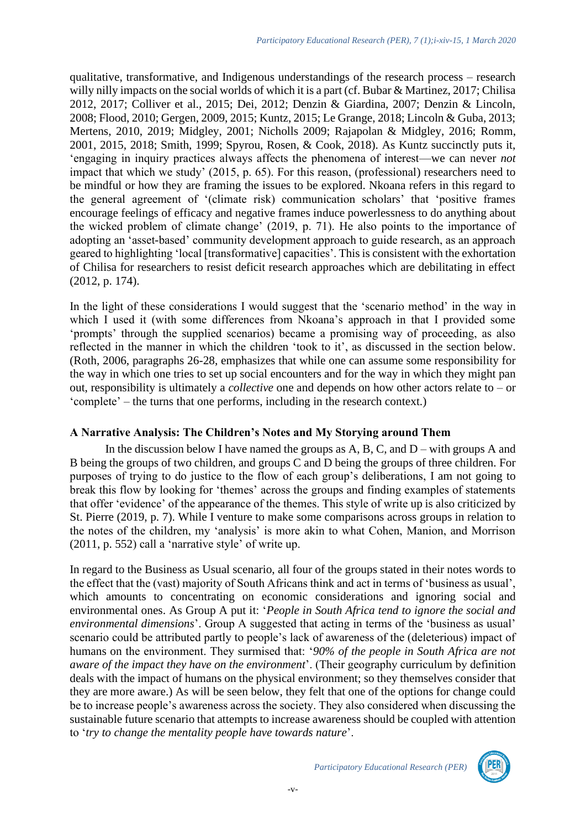qualitative, transformative, and Indigenous understandings of the research process – research willy nilly impacts on the social worlds of which it is a part (cf. Bubar & Martinez, 2017; Chilisa 2012, 2017; Colliver et al., 2015; Dei, 2012; Denzin & Giardina, 2007; Denzin & Lincoln, 2008; Flood, 2010; Gergen, 2009, 2015; Kuntz, 2015; Le Grange, 2018; Lincoln & Guba, 2013; Mertens, 2010, 2019; Midgley, 2001; Nicholls 2009; Rajapolan & Midgley, 2016; Romm, 2001, 2015, 2018; Smith, 1999; Spyrou, Rosen, & Cook, 2018). As Kuntz succinctly puts it, 'engaging in inquiry practices always affects the phenomena of interest—we can never *not* impact that which we study' (2015, p. 65). For this reason, (professional) researchers need to be mindful or how they are framing the issues to be explored. Nkoana refers in this regard to the general agreement of '(climate risk) communication scholars' that 'positive frames encourage feelings of efficacy and negative frames induce powerlessness to do anything about the wicked problem of climate change' (2019, p. 71). He also points to the importance of adopting an 'asset-based' community development approach to guide research, as an approach geared to highlighting 'local [transformative] capacities'. This is consistent with the exhortation of Chilisa for researchers to resist deficit research approaches which are debilitating in effect (2012, p. 174).

In the light of these considerations I would suggest that the 'scenario method' in the way in which I used it (with some differences from Nkoana's approach in that I provided some 'prompts' through the supplied scenarios) became a promising way of proceeding, as also reflected in the manner in which the children 'took to it', as discussed in the section below. (Roth, 2006, paragraphs 26-28, emphasizes that while one can assume some responsibility for the way in which one tries to set up social encounters and for the way in which they might pan out, responsibility is ultimately a *collective* one and depends on how other actors relate to – or 'complete' – the turns that one performs, including in the research context.)

#### **A Narrative Analysis: The Children's Notes and My Storying around Them**

In the discussion below I have named the groups as  $A$ ,  $B$ ,  $C$ , and  $D$  – with groups  $A$  and B being the groups of two children, and groups C and D being the groups of three children. For purposes of trying to do justice to the flow of each group's deliberations, I am not going to break this flow by looking for 'themes' across the groups and finding examples of statements that offer 'evidence' of the appearance of the themes. This style of write up is also criticized by St. Pierre (2019, p. 7). While I venture to make some comparisons across groups in relation to the notes of the children, my 'analysis' is more akin to what Cohen, Manion, and Morrison (2011, p. 552) call a 'narrative style' of write up.

In regard to the Business as Usual scenario, all four of the groups stated in their notes words to the effect that the (vast) majority of South Africans think and act in terms of 'business as usual', which amounts to concentrating on economic considerations and ignoring social and environmental ones. As Group A put it: '*People in South Africa tend to ignore the social and environmental dimensions*'. Group A suggested that acting in terms of the 'business as usual' scenario could be attributed partly to people's lack of awareness of the (deleterious) impact of humans on the environment. They surmised that: '*90% of the people in South Africa are not aware of the impact they have on the environment*'. (Their geography curriculum by definition deals with the impact of humans on the physical environment; so they themselves consider that they are more aware.) As will be seen below, they felt that one of the options for change could be to increase people's awareness across the society. They also considered when discussing the sustainable future scenario that attempts to increase awareness should be coupled with attention to '*try to change the mentality people have towards nature*'.



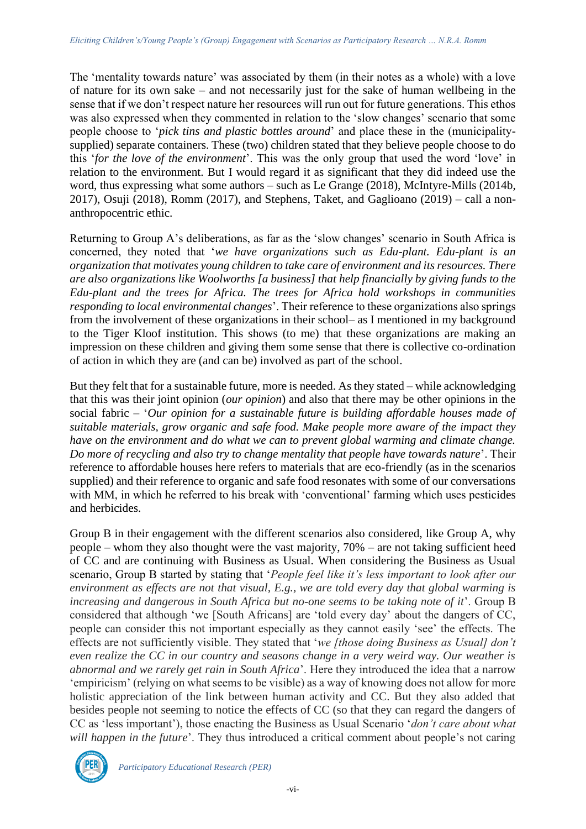The 'mentality towards nature' was associated by them (in their notes as a whole) with a love of nature for its own sake – and not necessarily just for the sake of human wellbeing in the sense that if we don't respect nature her resources will run out for future generations. This ethos was also expressed when they commented in relation to the 'slow changes' scenario that some people choose to '*pick tins and plastic bottles around*' and place these in the (municipalitysupplied) separate containers. These (two) children stated that they believe people choose to do this '*for the love of the environment*'. This was the only group that used the word 'love' in relation to the environment. But I would regard it as significant that they did indeed use the word, thus expressing what some authors – such as Le Grange (2018), McIntyre-Mills (2014b, 2017), Osuji (2018), Romm (2017), and Stephens, Taket, and Gaglioano (2019) – call a nonanthropocentric ethic.

Returning to Group A's deliberations, as far as the 'slow changes' scenario in South Africa is concerned, they noted that '*we have organizations such as Edu-plant. Edu-plant is an organization that motivates young children to take care of environment and its resources. There are also organizations like Woolworths [a business] that help financially by giving funds to the Edu-plant and the trees for Africa. The trees for Africa hold workshops in communities responding to local environmental changes*'. Their reference to these organizations also springs from the involvement of these organizations in their school– as I mentioned in my background to the Tiger Kloof institution. This shows (to me) that these organizations are making an impression on these children and giving them some sense that there is collective co-ordination of action in which they are (and can be) involved as part of the school.

But they felt that for a sustainable future, more is needed. As they stated – while acknowledging that this was their joint opinion (*our opinion*) and also that there may be other opinions in the social fabric – '*Our opinion for a sustainable future is building affordable houses made of suitable materials, grow organic and safe food. Make people more aware of the impact they have on the environment and do what we can to prevent global warming and climate change. Do more of recycling and also try to change mentality that people have towards nature*'. Their reference to affordable houses here refers to materials that are eco-friendly (as in the scenarios supplied) and their reference to organic and safe food resonates with some of our conversations with MM, in which he referred to his break with 'conventional' farming which uses pesticides and herbicides.

Group B in their engagement with the different scenarios also considered, like Group A, why people – whom they also thought were the vast majority, 70% – are not taking sufficient heed of CC and are continuing with Business as Usual. When considering the Business as Usual scenario, Group B started by stating that '*People feel like it's less important to look after our environment as effects are not that visual, E.g., we are told every day that global warming is increasing and dangerous in South Africa but no-one seems to be taking note of it*'. Group B considered that although 'we [South Africans] are 'told every day' about the dangers of CC, people can consider this not important especially as they cannot easily 'see' the effects. The effects are not sufficiently visible. They stated that '*we [those doing Business as Usual] don't even realize the CC in our country and seasons change in a very weird way. Our weather is abnormal and we rarely get rain in South Africa*'. Here they introduced the idea that a narrow 'empiricism' (relying on what seems to be visible) as a way of knowing does not allow for more holistic appreciation of the link between human activity and CC. But they also added that besides people not seeming to notice the effects of CC (so that they can regard the dangers of CC as 'less important'), those enacting the Business as Usual Scenario '*don't care about what will happen in the future*'. They thus introduced a critical comment about people's not caring



*Participatory Educational Research (PER)*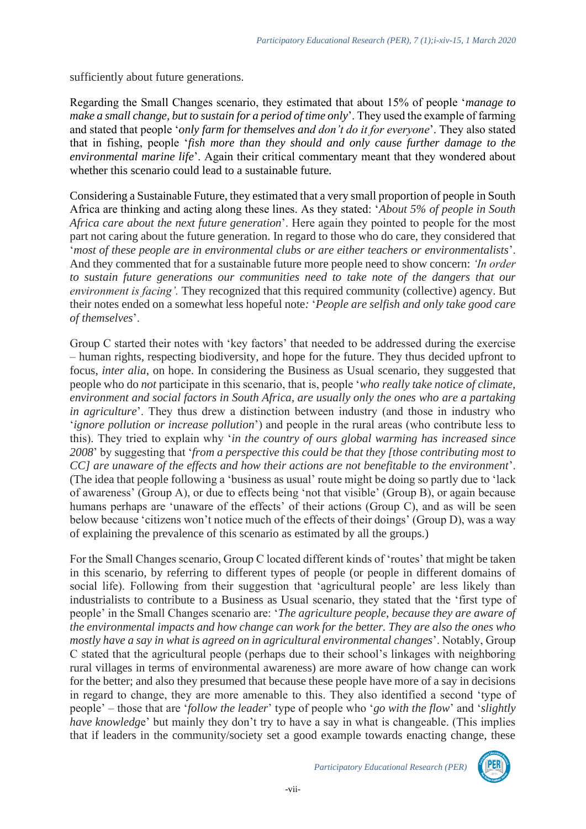sufficiently about future generations.

Regarding the Small Changes scenario, they estimated that about 15% of people '*manage to make a small change, but to sustain for a period of time only*'. They used the example of farming and stated that people '*only farm for themselves and don't do it for everyone*'. They also stated that in fishing, people '*fish more than they should and only cause further damage to the environmental marine life*'. Again their critical commentary meant that they wondered about whether this scenario could lead to a sustainable future.

Considering a Sustainable Future, they estimated that a very small proportion of people in South Africa are thinking and acting along these lines. As they stated: '*About 5% of people in South Africa care about the next future generation*'. Here again they pointed to people for the most part not caring about the future generation. In regard to those who do care, they considered that '*most of these people are in environmental clubs or are either teachers or environmentalists*'. And they commented that for a sustainable future more people need to show concern: *'In order to sustain future generations our communities need to take note of the dangers that our environment is facing'.* They recognized that this required community (collective) agency. But their notes ended on a somewhat less hopeful note*:* '*People are selfish and only take good care of themselves*'.

Group C started their notes with 'key factors' that needed to be addressed during the exercise – human rights, respecting biodiversity, and hope for the future. They thus decided upfront to focus, *inter alia*, on hope. In considering the Business as Usual scenario, they suggested that people who do *not* participate in this scenario, that is, people '*who really take notice of climate, environment and social factors in South Africa, are usually only the ones who are a partaking in agriculture*'. They thus drew a distinction between industry (and those in industry who '*ignore pollution or increase pollution*') and people in the rural areas (who contribute less to this). They tried to explain why '*in the country of ours global warming has increased since 2008*' by suggesting that '*from a perspective this could be that they [those contributing most to CC] are unaware of the effects and how their actions are not benefitable to the environment*'. (The idea that people following a 'business as usual' route might be doing so partly due to 'lack of awareness' (Group A), or due to effects being 'not that visible' (Group B), or again because humans perhaps are 'unaware of the effects' of their actions (Group C), and as will be seen below because 'citizens won't notice much of the effects of their doings' (Group D), was a way of explaining the prevalence of this scenario as estimated by all the groups.)

For the Small Changes scenario, Group C located different kinds of 'routes' that might be taken in this scenario, by referring to different types of people (or people in different domains of social life). Following from their suggestion that 'agricultural people' are less likely than industrialists to contribute to a Business as Usual scenario, they stated that the 'first type of people' in the Small Changes scenario are: '*The agriculture people, because they are aware of the environmental impacts and how change can work for the better. They are also the ones who mostly have a say in what is agreed on in agricultural environmental changes*'. Notably, Group C stated that the agricultural people (perhaps due to their school's linkages with neighboring rural villages in terms of environmental awareness) are more aware of how change can work for the better; and also they presumed that because these people have more of a say in decisions in regard to change, they are more amenable to this. They also identified a second 'type of people' *–* those that are '*follow the leader*' type of people who '*go with the flow*' and '*slightly have knowledge*' but mainly they don't try to have a say in what is changeable. (This implies that if leaders in the community/society set a good example towards enacting change, these

*Participatory Educational Research (PER)*

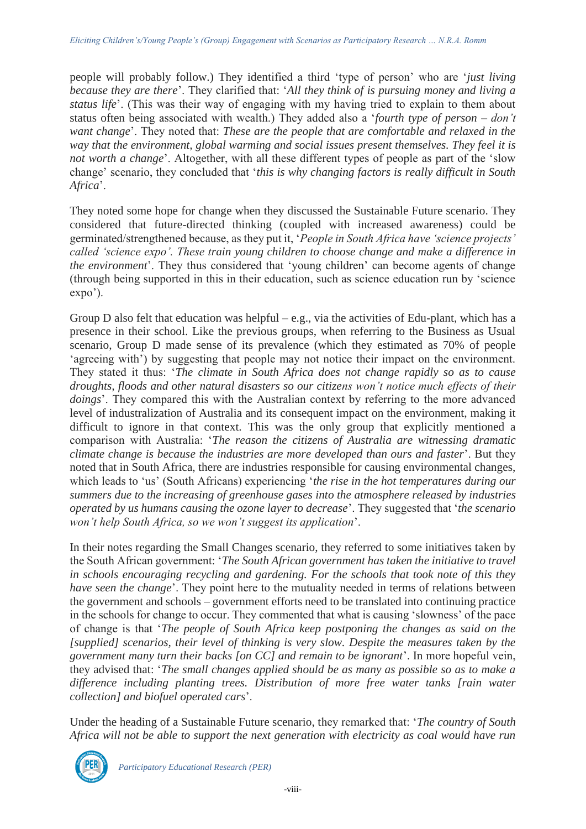people will probably follow.) They identified a third 'type of person' who are '*just living because they are there*'. They clarified that: '*All they think of is pursuing money and living a status life*'. (This was their way of engaging with my having tried to explain to them about status often being associated with wealth.) They added also a '*fourth type of person – don't want change*'. They noted that: *These are the people that are comfortable and relaxed in the way that the environment, global warming and social issues present themselves. They feel it is not worth a change*'. Altogether, with all these different types of people as part of the 'slow change' scenario, they concluded that '*this is why changing factors is really difficult in South Africa*'.

They noted some hope for change when they discussed the Sustainable Future scenario. They considered that future-directed thinking (coupled with increased awareness) could be germinated/strengthened because, as they put it, '*People in South Africa have 'science projects' called 'science expo'. These train young children to choose change and make a difference in the environment*'. They thus considered that 'young children' can become agents of change (through being supported in this in their education, such as science education run by 'science expo').

Group D also felt that education was helpful – e.g., via the activities of Edu-plant, which has a presence in their school. Like the previous groups, when referring to the Business as Usual scenario, Group D made sense of its prevalence (which they estimated as 70% of people 'agreeing with') by suggesting that people may not notice their impact on the environment. They stated it thus: '*The climate in South Africa does not change rapidly so as to cause droughts, floods and other natural disasters so our citizens won't notice much effects of their doings*'. They compared this with the Australian context by referring to the more advanced level of industralization of Australia and its consequent impact on the environment, making it difficult to ignore in that context. This was the only group that explicitly mentioned a comparison with Australia: '*The reason the citizens of Australia are witnessing dramatic climate change is because the industries are more developed than ours and faster*'. But they noted that in South Africa, there are industries responsible for causing environmental changes, which leads to 'us' (South Africans) experiencing '*the rise in the hot temperatures during our summers due to the increasing of greenhouse gases into the atmosphere released by industries operated by us humans causing the ozone layer to decrease*'. They suggested that '*the scenario won't help South Africa, so we won't suggest its application*'.

In their notes regarding the Small Changes scenario, they referred to some initiatives taken by the South African government: '*The South African government has taken the initiative to travel in schools encouraging recycling and gardening. For the schools that took note of this they have seen the change*'. They point here to the mutuality needed in terms of relations between the government and schools – government efforts need to be translated into continuing practice in the schools for change to occur. They commented that what is causing 'slowness' of the pace of change is that '*The people of South Africa keep postponing the changes as said on the [supplied] scenarios, their level of thinking is very slow. Despite the measures taken by the government many turn their backs [on CC] and remain to be ignorant*'. In more hopeful vein, they advised that: '*The small changes applied should be as many as possible so as to make a difference including planting trees. Distribution of more free water tanks [rain water collection] and biofuel operated cars*'.

Under the heading of a Sustainable Future scenario, they remarked that: '*The country of South Africa will not be able to support the next generation with electricity as coal would have run* 



*Participatory Educational Research (PER)*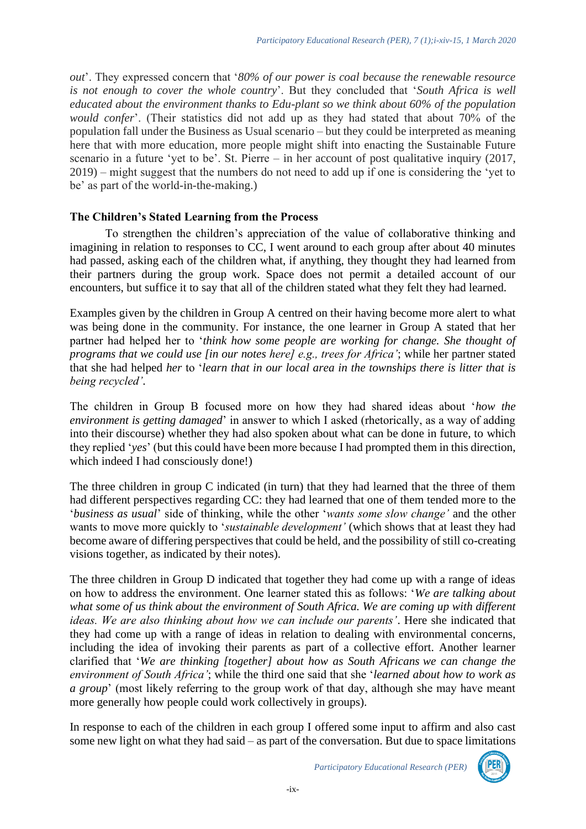*out*'. They expressed concern that '*80% of our power is coal because the renewable resource is not enough to cover the whole country*'. But they concluded that '*South Africa is well educated about the environment thanks to Edu-plant so we think about 60% of the population would confer*'. (Their statistics did not add up as they had stated that about 70% of the population fall under the Business as Usual scenario – but they could be interpreted as meaning here that with more education, more people might shift into enacting the Sustainable Future scenario in a future 'yet to be'. St. Pierre – in her account of post qualitative inquiry (2017, 2019) – might suggest that the numbers do not need to add up if one is considering the 'yet to be' as part of the world-in-the-making.)

### **The Children's Stated Learning from the Process**

To strengthen the children's appreciation of the value of collaborative thinking and imagining in relation to responses to CC, I went around to each group after about 40 minutes had passed, asking each of the children what, if anything, they thought they had learned from their partners during the group work. Space does not permit a detailed account of our encounters, but suffice it to say that all of the children stated what they felt they had learned.

Examples given by the children in Group A centred on their having become more alert to what was being done in the community. For instance, the one learner in Group A stated that her partner had helped her to '*think how some people are working for change. She thought of programs that we could use [in our notes here] e.g., trees for Africa'*; while her partner stated that she had helped *her* to '*learn that in our local area in the townships there is litter that is being recycled'*.

The children in Group B focused more on how they had shared ideas about '*how the environment is getting damaged*' in answer to which I asked (rhetorically, as a way of adding into their discourse) whether they had also spoken about what can be done in future, to which they replied '*yes*' (but this could have been more because I had prompted them in this direction, which indeed I had consciously done!)

The three children in group C indicated (in turn) that they had learned that the three of them had different perspectives regarding CC: they had learned that one of them tended more to the '*business as usual*' side of thinking, while the other '*wants some slow change'* and the other wants to move more quickly to '*sustainable development'* (which shows that at least they had become aware of differing perspectives that could be held, and the possibility of still co-creating visions together, as indicated by their notes).

The three children in Group D indicated that together they had come up with a range of ideas on how to address the environment. One learner stated this as follows: '*We are talking about what some of us think about the environment of South Africa. We are coming up with different ideas. We are also thinking about how we can include our parents'*. Here she indicated that they had come up with a range of ideas in relation to dealing with environmental concerns, including the idea of invoking their parents as part of a collective effort. Another learner clarified that '*We are thinking [together] about how as South Africans we can change the environment of South Africa'*; while the third one said that she '*learned about how to work as a group*' (most likely referring to the group work of that day, although she may have meant more generally how people could work collectively in groups).

In response to each of the children in each group I offered some input to affirm and also cast some new light on what they had said – as part of the conversation. But due to space limitations

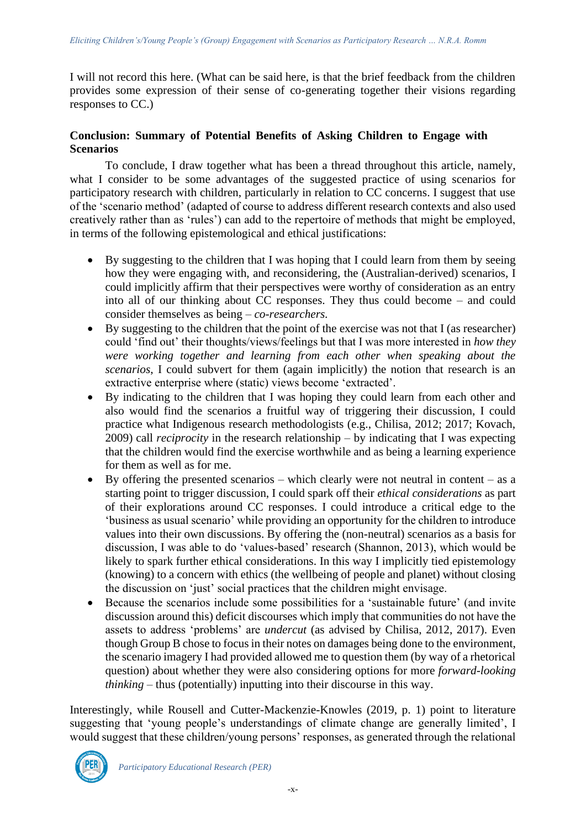I will not record this here. (What can be said here, is that the brief feedback from the children provides some expression of their sense of co-generating together their visions regarding responses to CC.)

# **Conclusion: Summary of Potential Benefits of Asking Children to Engage with Scenarios**

To conclude, I draw together what has been a thread throughout this article, namely, what I consider to be some advantages of the suggested practice of using scenarios for participatory research with children, particularly in relation to CC concerns. I suggest that use of the 'scenario method' (adapted of course to address different research contexts and also used creatively rather than as 'rules') can add to the repertoire of methods that might be employed, in terms of the following epistemological and ethical justifications:

- By suggesting to the children that I was hoping that I could learn from them by seeing how they were engaging with, and reconsidering, the (Australian-derived) scenarios, I could implicitly affirm that their perspectives were worthy of consideration as an entry into all of our thinking about CC responses. They thus could become – and could consider themselves as being – *co-researchers.*
- By suggesting to the children that the point of the exercise was not that I (as researcher) could 'find out' their thoughts/views/feelings but that I was more interested in *how they were working together and learning from each other when speaking about the scenarios*, I could subvert for them (again implicitly) the notion that research is an extractive enterprise where (static) views become 'extracted'.
- By indicating to the children that I was hoping they could learn from each other and also would find the scenarios a fruitful way of triggering their discussion, I could practice what Indigenous research methodologists (e.g., Chilisa, 2012; 2017; Kovach, 2009) call *reciprocity* in the research relationship – by indicating that I was expecting that the children would find the exercise worthwhile and as being a learning experience for them as well as for me.
- By offering the presented scenarios which clearly were not neutral in content as a starting point to trigger discussion, I could spark off their *ethical considerations* as part of their explorations around CC responses. I could introduce a critical edge to the 'business as usual scenario' while providing an opportunity for the children to introduce values into their own discussions. By offering the (non-neutral) scenarios as a basis for discussion, I was able to do 'values-based' research (Shannon, 2013), which would be likely to spark further ethical considerations. In this way I implicitly tied epistemology (knowing) to a concern with ethics (the wellbeing of people and planet) without closing the discussion on 'just' social practices that the children might envisage.
- Because the scenarios include some possibilities for a 'sustainable future' (and invite discussion around this) deficit discourses which imply that communities do not have the assets to address 'problems' are *undercut* (as advised by Chilisa, 2012, 2017). Even though Group B chose to focus in their notes on damages being done to the environment, the scenario imagery I had provided allowed me to question them (by way of a rhetorical question) about whether they were also considering options for more *forward-looking thinking* – thus (potentially) inputting into their discourse in this way.

Interestingly, while Rousell and Cutter-Mackenzie-Knowles (2019, p. 1) point to literature suggesting that 'young people's understandings of climate change are generally limited', I would suggest that these children/young persons' responses, as generated through the relational

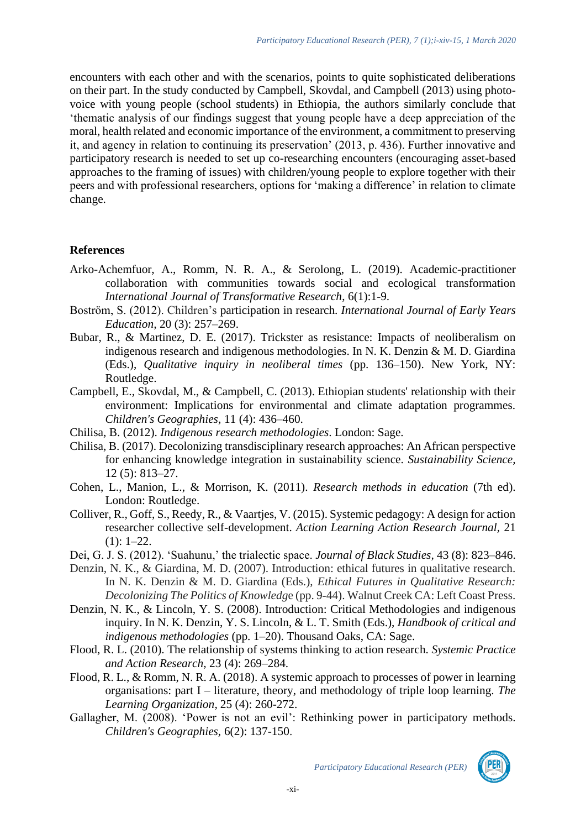encounters with each other and with the scenarios, points to quite sophisticated deliberations on their part. In the study conducted by Campbell, Skovdal, and Campbell (2013) using photovoice with young people (school students) in Ethiopia, the authors similarly conclude that 'thematic analysis of our findings suggest that young people have a deep appreciation of the moral, health related and economic importance of the environment, a commitment to preserving it, and agency in relation to continuing its preservation' (2013, p. 436). Further innovative and participatory research is needed to set up co-researching encounters (encouraging asset-based approaches to the framing of issues) with children/young people to explore together with their peers and with professional researchers, options for 'making a difference' in relation to climate change.

#### **References**

- Arko-Achemfuor, A., Romm, N. R. A., & Serolong, L. (2019). Academic-practitioner collaboration with communities towards social and ecological transformation *International Journal of Transformative Research*, 6(1):1-9.
- Boström, S. (2012). Children's participation in research. *International Journal of Early Years Education,* 20 (3): 257–269.
- Bubar, R., & Martinez, D. E. (2017). Trickster as resistance: Impacts of neoliberalism on indigenous research and indigenous methodologies. In N. K. Denzin & M. D. Giardina (Eds.), *Qualitative inquiry in neoliberal times* (pp. 136–150). New York, NY: Routledge.
- Campbell, E., Skovdal, M., & Campbell, C. (2013). Ethiopian students' relationship with their environment: Implications for environmental and climate adaptation programmes. *Children's Geographies,* 11 (4): 436–460.
- Chilisa, B. (2012). *Indigenous research methodologies*. London: Sage.
- Chilisa, B. (2017). Decolonizing transdisciplinary research approaches: An African perspective for enhancing knowledge integration in sustainability science. *Sustainability Science,* 12 (5): 813–27.
- Cohen, L., Manion, L., & Morrison, K. (2011). *Research methods in education* (7th ed). London: Routledge.
- Colliver, R., Goff, S., Reedy, R., & Vaartjes, V. (2015). Systemic pedagogy: A design for action researcher collective self-development. *Action Learning Action Research Journal,* 21  $(1): 1-22.$
- Dei, G. J. S. (2012). 'Suahunu,' the trialectic space. *Journal of Black Studies,* 43 (8): 823–846.
- Denzin, N. K., & Giardina, M. D. (2007). Introduction: ethical futures in qualitative research. In N. K. Denzin & M. D. Giardina (Eds.), *Ethical Futures in Qualitative Research: Decolonizing The Politics of Knowledg*e (pp. 9-44). Walnut Creek CA: Left Coast Press.
- Denzin, N. K., & Lincoln, Y. S. (2008). Introduction: Critical Methodologies and indigenous inquiry. In N. K. Denzin, Y. S. Lincoln, & L. T. Smith (Eds.), *Handbook of critical and indigenous methodologies* (pp. 1–20). Thousand Oaks, CA: Sage.
- Flood, R. L. (2010). The relationship of systems thinking to action research. *Systemic Practice and Action Research,* 23 (4): 269–284.
- Flood, R. L., & Romm, N. R. A. (2018). A systemic approach to processes of power in learning organisations: part I – literature, theory, and methodology of triple loop learning. *The Learning Organization*, 25 (4): 260-272.
- Gallagher, M. (2008). 'Power is not an evil': Rethinking power in participatory methods. *Children's Geographies,* 6(2): 137-150.

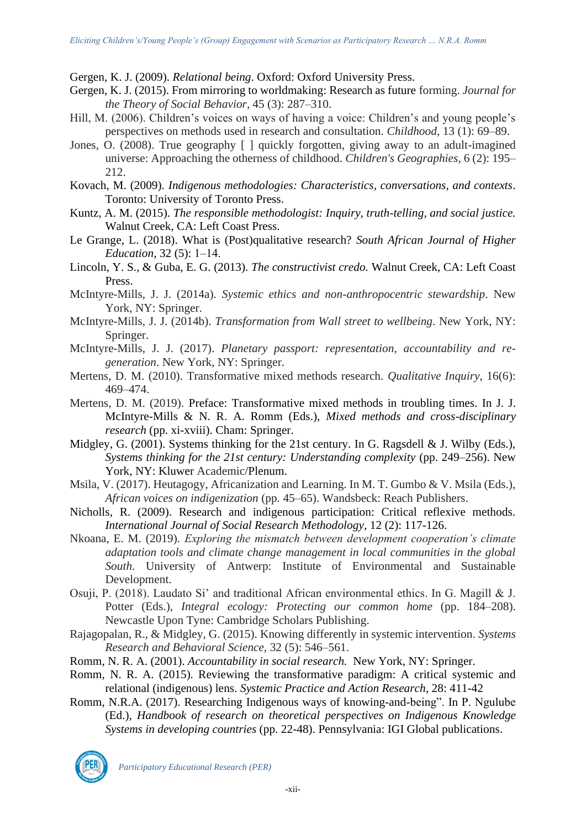Gergen, K. J. (2009). *Relational being*. Oxford: Oxford University Press.

- Gergen, K. J. (2015). From mirroring to worldmaking: Research as future forming. *Journal for the Theory of Social Behavior,* 45 (3): 287–310.
- Hill, M. (2006). Children's voices on ways of having a voice: Children's and young people's perspectives on methods used in research and consultation. *Childhood*, 13 (1): 69–89.
- Jones, O. (2008). True geography [ ] quickly forgotten, giving away to an adult-imagined universe: Approaching the otherness of childhood. *Children's Geographies*, 6 (2): 195– 212.
- Kovach, M. (2009). *Indigenous methodologies: Characteristics, conversations, and contexts*. Toronto: University of Toronto Press.
- Kuntz, A. M. (2015). *The responsible methodologist: Inquiry, truth-telling, and social justice.*  Walnut Creek, CA: Left Coast Press.
- Le Grange, L. (2018). What is (Post)qualitative research? *South African Journal of Higher Education*, 32 (5): 1–14.
- Lincoln, Y. S., & Guba, E. G. (2013). *The constructivist credo.* Walnut Creek, CA: Left Coast Press.
- McIntyre-Mills, J. J. (2014a). *Systemic ethics and non-anthropocentric stewardship*. New York, NY: Springer.
- McIntyre-Mills, J. J. (2014b). *Transformation from Wall street to wellbeing*. New York, NY: Springer.
- McIntyre-Mills, J. J. (2017). *Planetary passport: representation, accountability and regeneration*. New York, NY: Springer.
- Mertens, D. M. (2010). Transformative mixed methods research. *Qualitative Inquiry*, 16(6): 469–474.
- Mertens, D. M. (2019). Preface: Transformative mixed methods in troubling times. In J. J. McIntyre-Mills & N. R. A. Romm (Eds.), *Mixed methods and cross-disciplinary research* (pp. xi-xviii). Cham: Springer.
- Midgley, G. (2001). Systems thinking for the 21st century. In G. Ragsdell & J. Wilby (Eds.), *Systems thinking for the 21st century: Understanding complexity* (pp. 249–256). New York, NY: Kluwer Academic/Plenum.
- Msila, V. (2017). Heutagogy, Africanization and Learning. In M. T. Gumbo & V. Msila (Eds.), *African voices on indigenization* (pp*.* 45–65). Wandsbeck: Reach Publishers.
- Nicholls, R. (2009). Research and indigenous participation: Critical reflexive methods. *International Journal of Social Research Methodology,* 12 (2): 117-126.
- Nkoana, E. M. (2019). *Exploring the mismatch between development cooperation's climate adaptation tools and climate change management in local communities in the global South*. University of Antwerp: Institute of Environmental and Sustainable Development.
- Osuji, P. (2018). Laudato Si' and traditional African environmental ethics. In G. Magill & J. Potter (Eds.), *Integral ecology: Protecting our common home* (pp. 184–208). Newcastle Upon Tyne: Cambridge Scholars Publishing.
- Rajagopalan, R., & Midgley, G. (2015). Knowing differently in systemic intervention. *Systems Research and Behavioral Science,* 32 (5): 546–561.
- Romm, N. R. A. (2001). *Accountability in social research.* New York, NY: Springer.
- Romm, N. R. A. (2015). Reviewing the transformative paradigm: A critical systemic and relational (indigenous) lens. *Systemic Practice and Action Research*, 28: 411-42
- Romm, N.R.A. (2017). Researching Indigenous ways of knowing-and-being". In P. Ngulube (Ed.), *Handbook of research on theoretical perspectives on Indigenous Knowledge Systems in developing countries* (pp. 22-48). Pennsylvania: IGI Global publications.

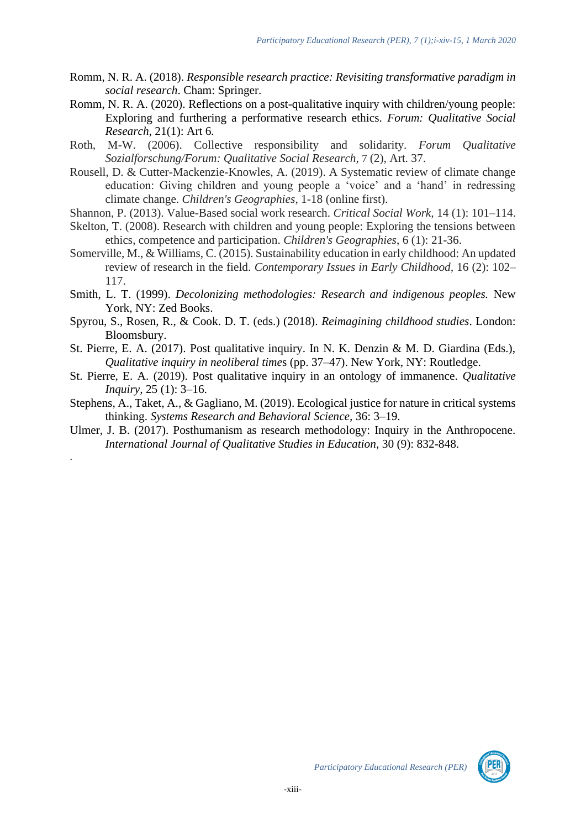- Romm, N. R. A. (2018). *Responsible research practice: Revisiting transformative paradigm in social research*. Cham: Springer.
- Romm, N. R. A. (2020). Reflections on a post-qualitative inquiry with children/young people: Exploring and furthering a performative research ethics. *Forum: Qualitative Social Research,* 21(1): Art 6*.*
- Roth, M-W. (2006). Collective responsibility and solidarity. *Forum Qualitative Sozialforschung/Forum: Qualitative Social Research,* 7 (2), Art. 37.
- Rousell, D. & Cutter-Mackenzie-Knowles, A. (2019). A Systematic review of climate change education: Giving children and young people a 'voice' and a 'hand' in redressing climate change. *Children's Geographies*, 1-18 (online first).
- Shannon, P. (2013). Value-Based social work research. *Critical Social Work,* 14 (1): 101–114.
- Skelton, T. (2008). Research with children and young people: Exploring the tensions between ethics, competence and participation. *Children's Geographies*, 6 (1): 21-36.
- Somerville, M., & Williams, C. (2015). Sustainability education in early childhood: An updated review of research in the field. *Contemporary Issues in Early Childhood,* 16 (2): 102– 117.
- Smith, L. T. (1999). *Decolonizing methodologies: Research and indigenous peoples.* New York, NY: Zed Books.
- Spyrou, S., Rosen, R., & Cook. D. T. (eds.) (2018). *Reimagining childhood studies*. London: Bloomsbury.
- St. Pierre, E. A. (2017). Post qualitative inquiry. In N. K. Denzin & M. D. Giardina (Eds.), *Qualitative inquiry in neoliberal time*s (pp. 37–47). New York, NY: Routledge.
- St. Pierre, E. A. (2019). Post qualitative inquiry in an ontology of immanence. *Qualitative Inquiry,* 25 (1): 3–16.
- Stephens, A., Taket, A., & Gagliano, M. (2019). Ecological justice for nature in critical systems thinking. *Systems Research and Behavioral Science,* 36: 3–19.
- Ulmer, J. B. (2017). Posthumanism as research methodology: Inquiry in the Anthropocene. *International Journal of Qualitative Studies in Education,* 30 (9): 832-848.

.